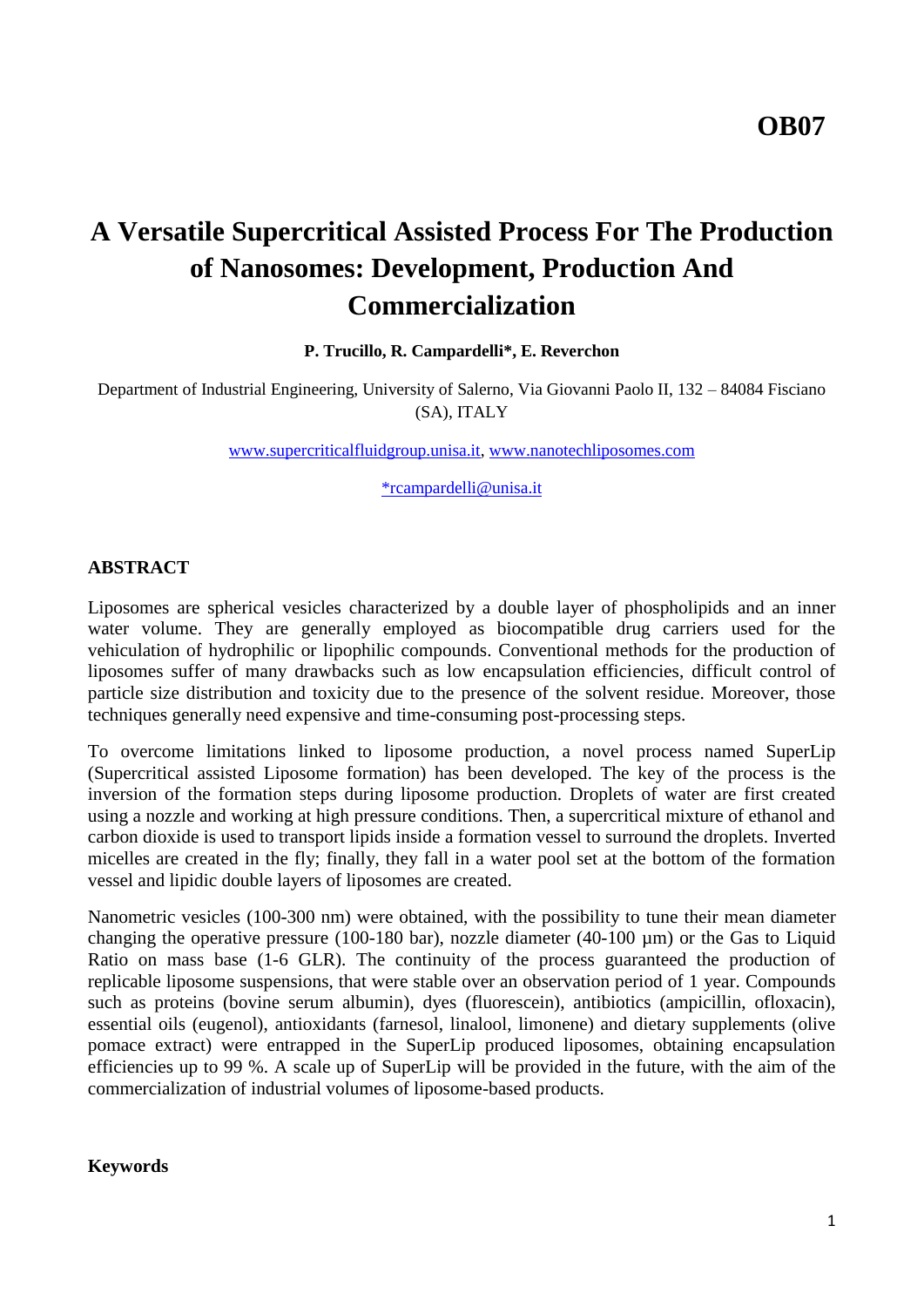# **A Versatile Supercritical Assisted Process For The Production of Nanosomes: Development, Production And Commercialization**

# **P. Trucillo, R. Campardelli\*, E. Reverchon**

Department of Industrial Engineering, University of Salerno, Via Giovanni Paolo II, 132 – 84084 Fisciano (SA), ITALY

[www.supercriticalfluidgroup.unisa.it,](http://www.supercriticalfluidgroup.unisa.it/) [www.nanotechliposomes.com](http://www.nanotechliposomes.com/)

[\\*rcampardelli@unisa.it](mailto:*rcampardelli@unisa.it)

# **ABSTRACT**

Liposomes are spherical vesicles characterized by a double layer of phospholipids and an inner water volume. They are generally employed as biocompatible drug carriers used for the vehiculation of hydrophilic or lipophilic compounds. Conventional methods for the production of liposomes suffer of many drawbacks such as low encapsulation efficiencies, difficult control of particle size distribution and toxicity due to the presence of the solvent residue. Moreover, those techniques generally need expensive and time-consuming post-processing steps.

To overcome limitations linked to liposome production, a novel process named SuperLip (Supercritical assisted Liposome formation) has been developed. The key of the process is the inversion of the formation steps during liposome production. Droplets of water are first created using a nozzle and working at high pressure conditions. Then, a supercritical mixture of ethanol and carbon dioxide is used to transport lipids inside a formation vessel to surround the droplets. Inverted micelles are created in the fly; finally, they fall in a water pool set at the bottom of the formation vessel and lipidic double layers of liposomes are created.

Nanometric vesicles (100-300 nm) were obtained, with the possibility to tune their mean diameter changing the operative pressure (100-180 bar), nozzle diameter (40-100  $\mu$ m) or the Gas to Liquid Ratio on mass base (1-6 GLR). The continuity of the process guaranteed the production of replicable liposome suspensions, that were stable over an observation period of 1 year. Compounds such as proteins (bovine serum albumin), dyes (fluorescein), antibiotics (ampicillin, ofloxacin), essential oils (eugenol), antioxidants (farnesol, linalool, limonene) and dietary supplements (olive pomace extract) were entrapped in the SuperLip produced liposomes, obtaining encapsulation efficiencies up to 99 %. A scale up of SuperLip will be provided in the future, with the aim of the commercialization of industrial volumes of liposome-based products.

## **Keywords**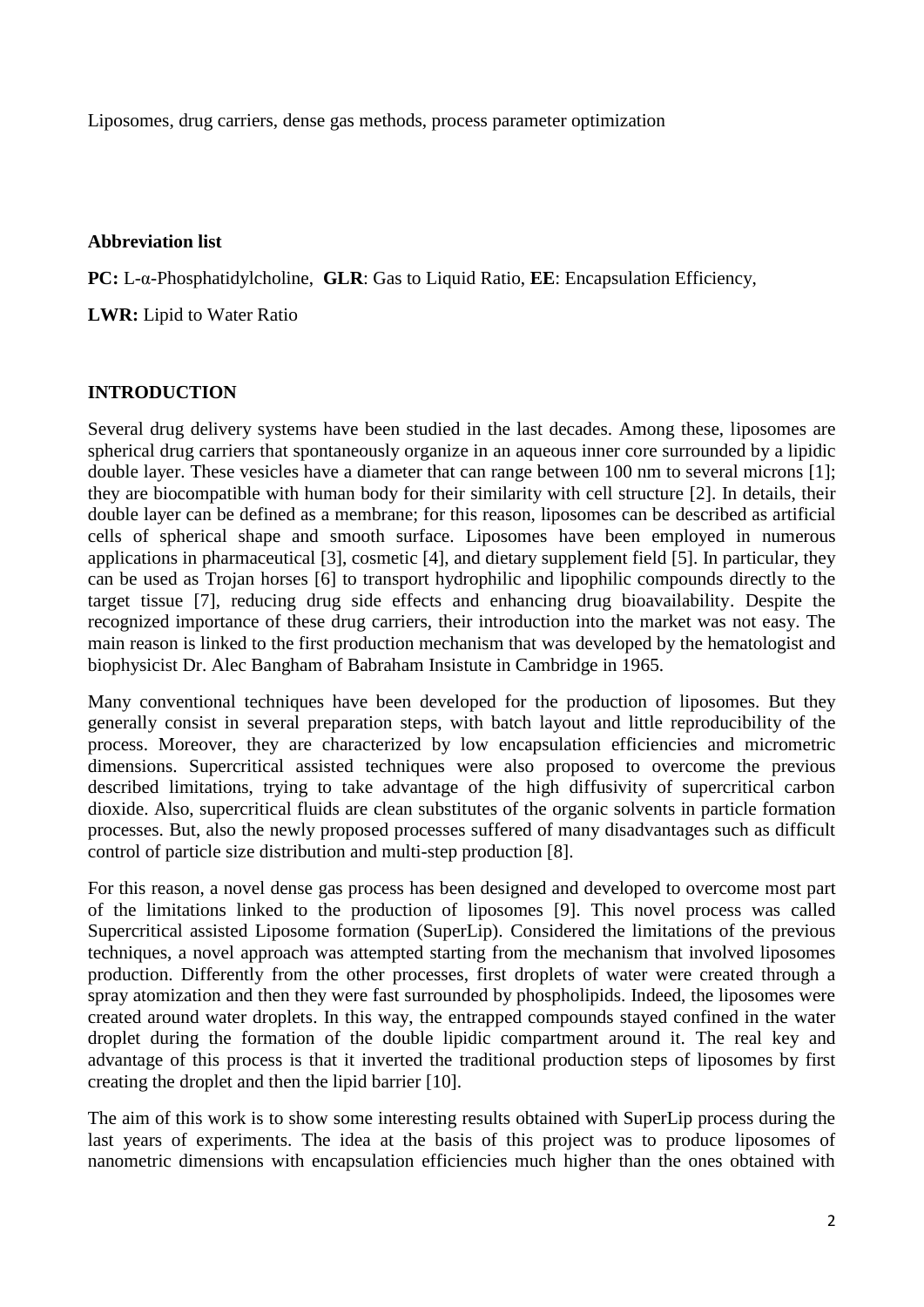Liposomes, drug carriers, dense gas methods, process parameter optimization

# **Abbreviation list**

**PC:** L-α-Phosphatidylcholine, **GLR**: Gas to Liquid Ratio, **EE**: Encapsulation Efficiency,

**LWR:** Lipid to Water Ratio

# **INTRODUCTION**

Several drug delivery systems have been studied in the last decades. Among these, liposomes are spherical drug carriers that spontaneously organize in an aqueous inner core surrounded by a lipidic double layer. These vesicles have a diameter that can range between 100 nm to several microns [1]; they are biocompatible with human body for their similarity with cell structure [2]. In details, their double layer can be defined as a membrane; for this reason, liposomes can be described as artificial cells of spherical shape and smooth surface. Liposomes have been employed in numerous applications in pharmaceutical [3], cosmetic [4], and dietary supplement field [5]. In particular, they can be used as Trojan horses [6] to transport hydrophilic and lipophilic compounds directly to the target tissue [7], reducing drug side effects and enhancing drug bioavailability. Despite the recognized importance of these drug carriers, their introduction into the market was not easy. The main reason is linked to the first production mechanism that was developed by the hematologist and biophysicist Dr. Alec Bangham of Babraham Insistute in Cambridge in 1965.

Many conventional techniques have been developed for the production of liposomes. But they generally consist in several preparation steps, with batch layout and little reproducibility of the process. Moreover, they are characterized by low encapsulation efficiencies and micrometric dimensions. Supercritical assisted techniques were also proposed to overcome the previous described limitations, trying to take advantage of the high diffusivity of supercritical carbon dioxide. Also, supercritical fluids are clean substitutes of the organic solvents in particle formation processes. But, also the newly proposed processes suffered of many disadvantages such as difficult control of particle size distribution and multi-step production [8].

For this reason, a novel dense gas process has been designed and developed to overcome most part of the limitations linked to the production of liposomes [9]. This novel process was called Supercritical assisted Liposome formation (SuperLip). Considered the limitations of the previous techniques, a novel approach was attempted starting from the mechanism that involved liposomes production. Differently from the other processes, first droplets of water were created through a spray atomization and then they were fast surrounded by phospholipids. Indeed, the liposomes were created around water droplets. In this way, the entrapped compounds stayed confined in the water droplet during the formation of the double lipidic compartment around it. The real key and advantage of this process is that it inverted the traditional production steps of liposomes by first creating the droplet and then the lipid barrier [10].

The aim of this work is to show some interesting results obtained with SuperLip process during the last years of experiments. The idea at the basis of this project was to produce liposomes of nanometric dimensions with encapsulation efficiencies much higher than the ones obtained with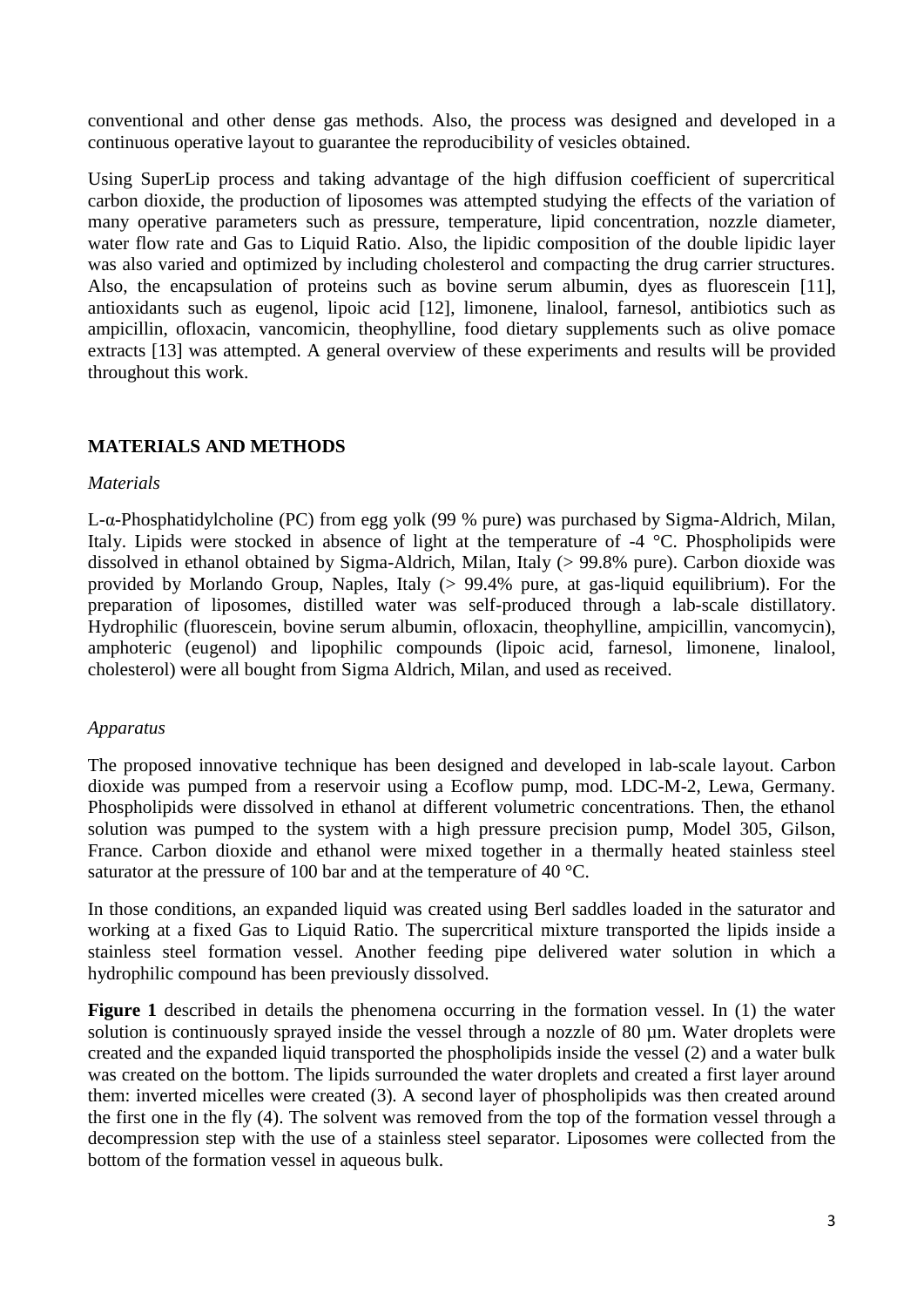conventional and other dense gas methods. Also, the process was designed and developed in a continuous operative layout to guarantee the reproducibility of vesicles obtained.

Using SuperLip process and taking advantage of the high diffusion coefficient of supercritical carbon dioxide, the production of liposomes was attempted studying the effects of the variation of many operative parameters such as pressure, temperature, lipid concentration, nozzle diameter, water flow rate and Gas to Liquid Ratio. Also, the lipidic composition of the double lipidic layer was also varied and optimized by including cholesterol and compacting the drug carrier structures. Also, the encapsulation of proteins such as bovine serum albumin, dyes as fluorescein [11], antioxidants such as eugenol, lipoic acid [12], limonene, linalool, farnesol, antibiotics such as ampicillin, ofloxacin, vancomicin, theophylline, food dietary supplements such as olive pomace extracts [13] was attempted. A general overview of these experiments and results will be provided throughout this work.

# **MATERIALS AND METHODS**

## *Materials*

L-α-Phosphatidylcholine (PC) from egg yolk (99 % pure) was purchased by Sigma-Aldrich, Milan, Italy. Lipids were stocked in absence of light at the temperature of -4 °C. Phospholipids were dissolved in ethanol obtained by Sigma-Aldrich, Milan, Italy (> 99.8% pure). Carbon dioxide was provided by Morlando Group, Naples, Italy (> 99.4% pure, at gas-liquid equilibrium). For the preparation of liposomes, distilled water was self-produced through a lab-scale distillatory. Hydrophilic (fluorescein, bovine serum albumin, ofloxacin, theophylline, ampicillin, vancomycin), amphoteric (eugenol) and lipophilic compounds (lipoic acid, farnesol, limonene, linalool, cholesterol) were all bought from Sigma Aldrich, Milan, and used as received.

## *Apparatus*

The proposed innovative technique has been designed and developed in lab-scale layout. Carbon dioxide was pumped from a reservoir using a Ecoflow pump, mod. LDC-M-2, Lewa, Germany. Phospholipids were dissolved in ethanol at different volumetric concentrations. Then, the ethanol solution was pumped to the system with a high pressure precision pump, Model 305, Gilson, France. Carbon dioxide and ethanol were mixed together in a thermally heated stainless steel saturator at the pressure of 100 bar and at the temperature of 40 °C.

In those conditions, an expanded liquid was created using Berl saddles loaded in the saturator and working at a fixed Gas to Liquid Ratio. The supercritical mixture transported the lipids inside a stainless steel formation vessel. Another feeding pipe delivered water solution in which a hydrophilic compound has been previously dissolved.

**Figure 1** described in details the phenomena occurring in the formation vessel. In (1) the water solution is continuously sprayed inside the vessel through a nozzle of 80 µm. Water droplets were created and the expanded liquid transported the phospholipids inside the vessel (2) and a water bulk was created on the bottom. The lipids surrounded the water droplets and created a first layer around them: inverted micelles were created (3). A second layer of phospholipids was then created around the first one in the fly (4). The solvent was removed from the top of the formation vessel through a decompression step with the use of a stainless steel separator. Liposomes were collected from the bottom of the formation vessel in aqueous bulk.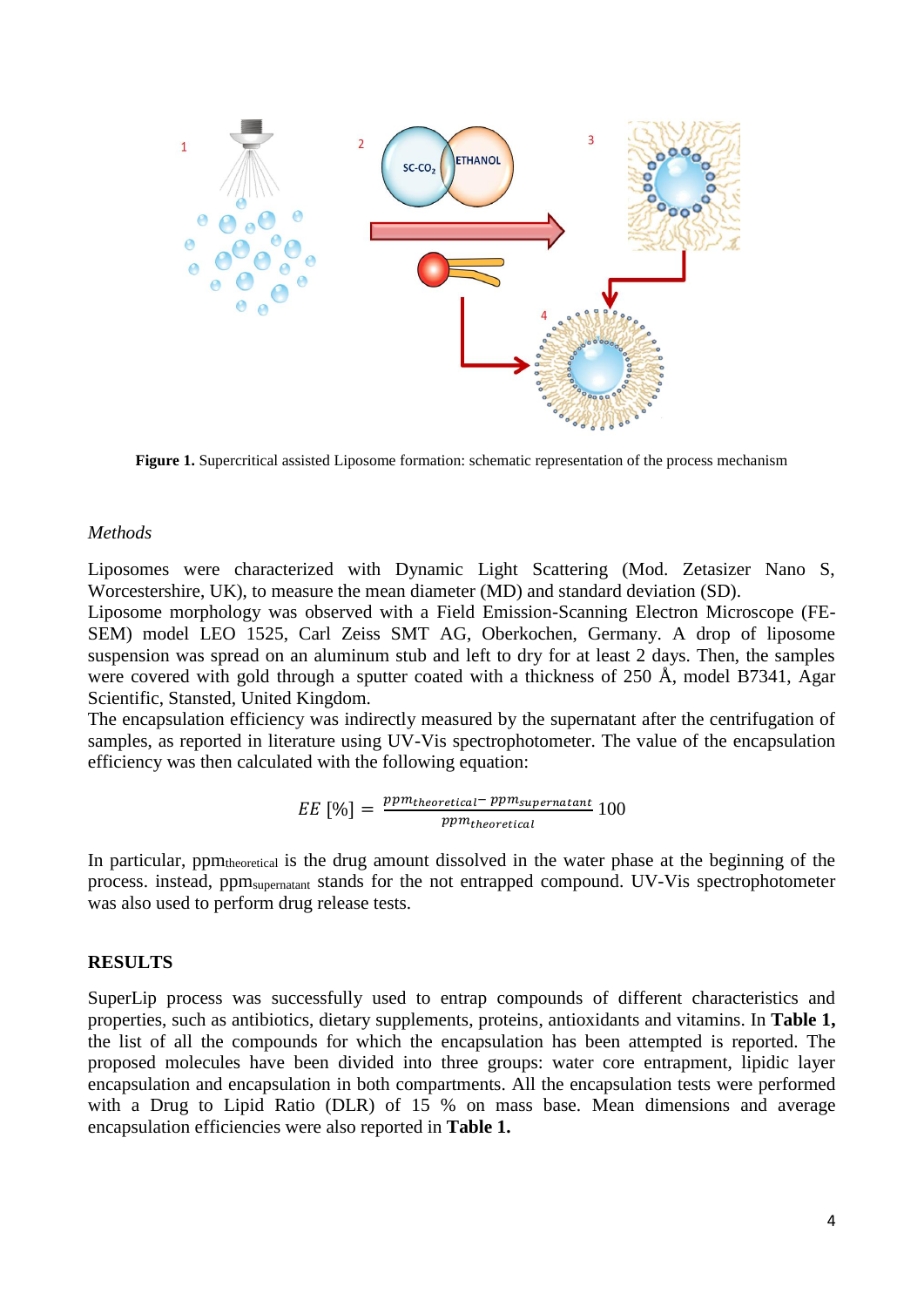

**Figure 1.** Supercritical assisted Liposome formation: schematic representation of the process mechanism

#### *Methods*

Liposomes were characterized with Dynamic Light Scattering (Mod. Zetasizer Nano S, Worcestershire, UK), to measure the mean diameter (MD) and standard deviation (SD).

Liposome morphology was observed with a Field Emission-Scanning Electron Microscope (FE-SEM) model LEO 1525, Carl Zeiss SMT AG, Oberkochen, Germany. A drop of liposome suspension was spread on an aluminum stub and left to dry for at least 2 days. Then, the samples were covered with gold through a sputter coated with a thickness of 250 Å, model B7341, Agar Scientific, Stansted, United Kingdom.

The encapsulation efficiency was indirectly measured by the supernatant after the centrifugation of samples, as reported in literature using UV-Vis spectrophotometer. The value of the encapsulation efficiency was then calculated with the following equation:

$$
EE \, [\%] = \frac{ppm_{theoretical} - ppm_{supernatant}}{ppm_{theoretical}} \, 100
$$

In particular, ppm<sub>theoretical</sub> is the drug amount dissolved in the water phase at the beginning of the process. instead, ppmsupernatant stands for the not entrapped compound. UV-Vis spectrophotometer was also used to perform drug release tests.

#### **RESULTS**

SuperLip process was successfully used to entrap compounds of different characteristics and properties, such as antibiotics, dietary supplements, proteins, antioxidants and vitamins. In **Table 1,** the list of all the compounds for which the encapsulation has been attempted is reported. The proposed molecules have been divided into three groups: water core entrapment, lipidic layer encapsulation and encapsulation in both compartments. All the encapsulation tests were performed with a Drug to Lipid Ratio (DLR) of 15 % on mass base. Mean dimensions and average encapsulation efficiencies were also reported in **Table 1.**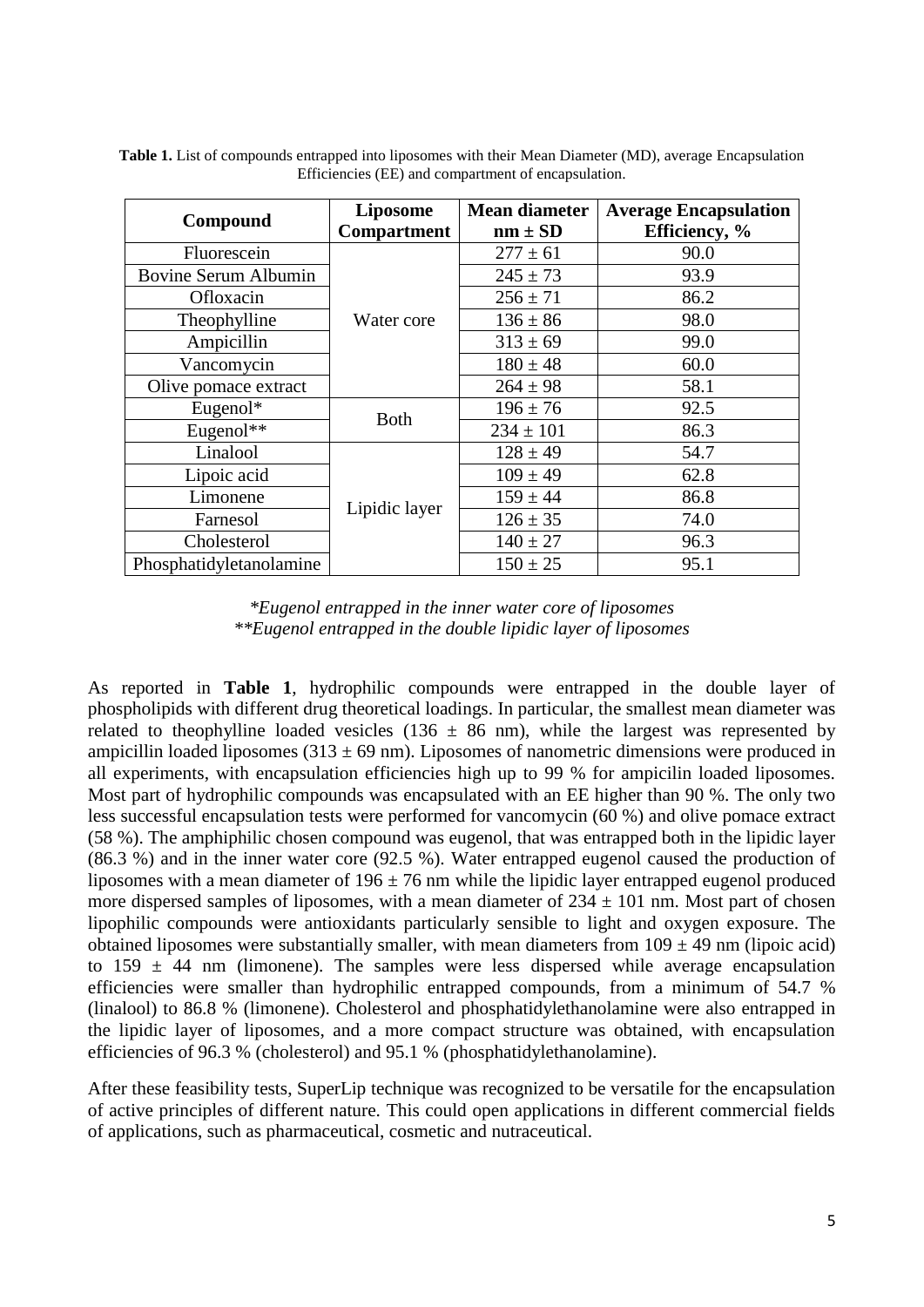| Compound                | Liposome<br><b>Compartment</b> | <b>Mean diameter</b><br>$nm \pm SD$ | <b>Average Encapsulation</b><br>Efficiency, % |
|-------------------------|--------------------------------|-------------------------------------|-----------------------------------------------|
| Fluorescein             | Water core                     | $277 \pm 61$                        | 90.0                                          |
| Bovine Serum Albumin    |                                | $245 \pm 73$                        | 93.9                                          |
| Ofloxacin               |                                | $256 \pm 71$                        | 86.2                                          |
| Theophylline            |                                | $136 \pm 86$                        | 98.0                                          |
| Ampicillin              |                                | $313 \pm 69$                        | 99.0                                          |
| Vancomycin              |                                | $180 \pm 48$                        | 60.0                                          |
| Olive pomace extract    |                                | $264 \pm 98$                        | 58.1                                          |
| Eugenol*                | <b>Both</b>                    | $196 \pm 76$                        | 92.5                                          |
| Eugenol**               |                                | $234 \pm 101$                       | 86.3                                          |
| Linalool                | Lipidic layer                  | $128 \pm 49$                        | 54.7                                          |
| Lipoic acid             |                                | $109 \pm 49$                        | 62.8                                          |
| Limonene                |                                | $159 \pm 44$                        | 86.8                                          |
| Farnesol                |                                | $126 \pm 35$                        | 74.0                                          |
| Cholesterol             |                                | $140 \pm 27$                        | 96.3                                          |
| Phosphatidyletanolamine |                                | $150 \pm 25$                        | 95.1                                          |

**Table 1.** List of compounds entrapped into liposomes with their Mean Diameter (MD), average Encapsulation Efficiencies (EE) and compartment of encapsulation.

# *\*Eugenol entrapped in the inner water core of liposomes \*\*Eugenol entrapped in the double lipidic layer of liposomes*

As reported in **Table 1**, hydrophilic compounds were entrapped in the double layer of phospholipids with different drug theoretical loadings. In particular, the smallest mean diameter was related to the ophylline loaded vesicles (136  $\pm$  86 nm), while the largest was represented by ampicillin loaded liposomes (313  $\pm$  69 nm). Liposomes of nanometric dimensions were produced in all experiments, with encapsulation efficiencies high up to 99 % for ampicilin loaded liposomes. Most part of hydrophilic compounds was encapsulated with an EE higher than 90 %. The only two less successful encapsulation tests were performed for vancomycin (60 %) and olive pomace extract (58 %). The amphiphilic chosen compound was eugenol, that was entrapped both in the lipidic layer (86.3 %) and in the inner water core (92.5 %). Water entrapped eugenol caused the production of liposomes with a mean diameter of  $196 \pm 76$  nm while the lipidic layer entrapped eugenol produced more dispersed samples of liposomes, with a mean diameter of  $234 \pm 101$  nm. Most part of chosen lipophilic compounds were antioxidants particularly sensible to light and oxygen exposure. The obtained liposomes were substantially smaller, with mean diameters from  $109 \pm 49$  nm (lipoic acid) to  $159 \pm 44$  nm (limonene). The samples were less dispersed while average encapsulation efficiencies were smaller than hydrophilic entrapped compounds, from a minimum of 54.7 % (linalool) to 86.8 % (limonene). Cholesterol and phosphatidylethanolamine were also entrapped in the lipidic layer of liposomes, and a more compact structure was obtained, with encapsulation efficiencies of 96.3 % (cholesterol) and 95.1 % (phosphatidylethanolamine).

After these feasibility tests, SuperLip technique was recognized to be versatile for the encapsulation of active principles of different nature. This could open applications in different commercial fields of applications, such as pharmaceutical, cosmetic and nutraceutical.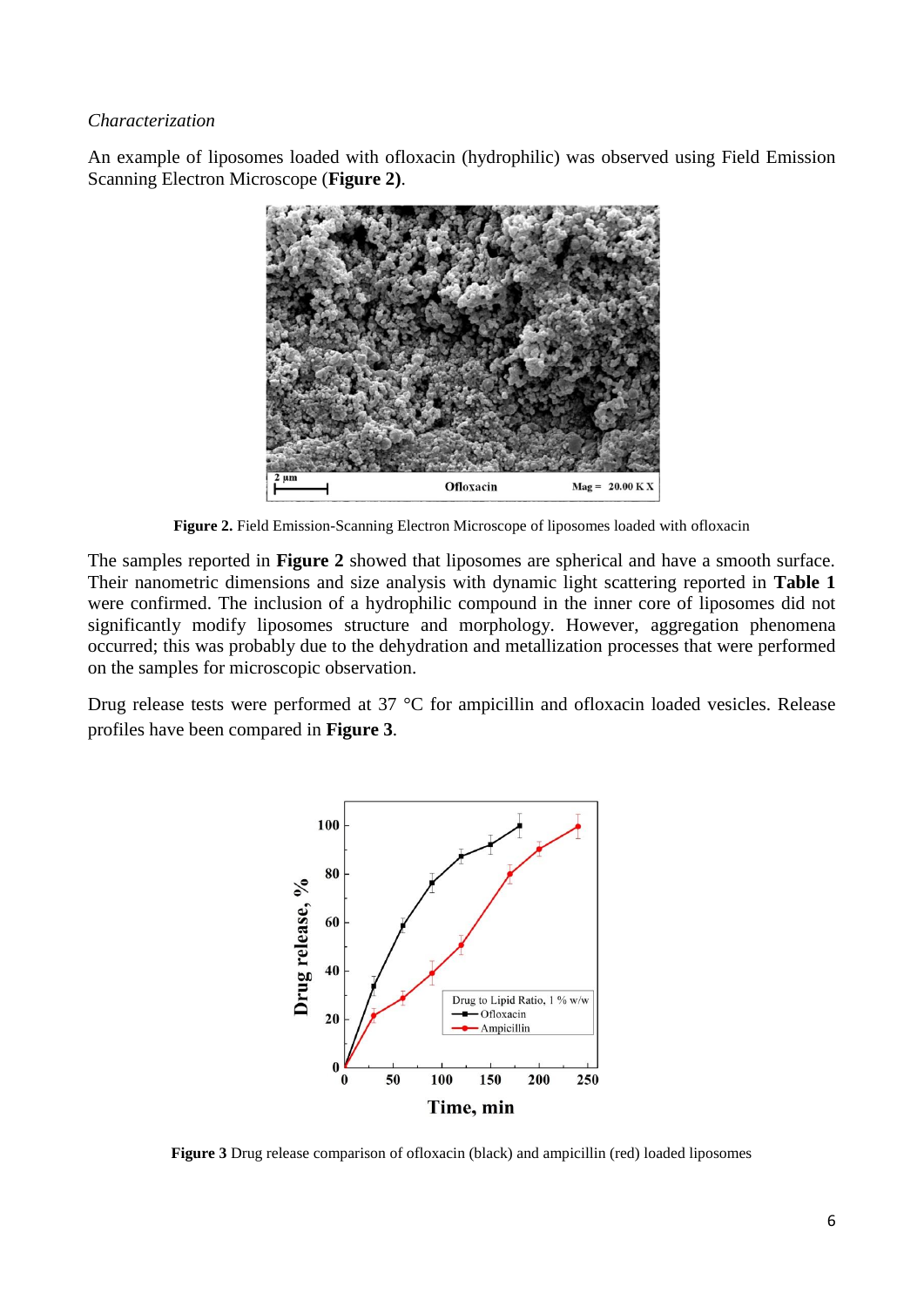#### *Characterization*

An example of liposomes loaded with ofloxacin (hydrophilic) was observed using Field Emission Scanning Electron Microscope (**Figure 2)**.



**Figure 2.** Field Emission-Scanning Electron Microscope of liposomes loaded with ofloxacin

The samples reported in **Figure 2** showed that liposomes are spherical and have a smooth surface. Their nanometric dimensions and size analysis with dynamic light scattering reported in **Table 1** were confirmed. The inclusion of a hydrophilic compound in the inner core of liposomes did not significantly modify liposomes structure and morphology. However, aggregation phenomena occurred; this was probably due to the dehydration and metallization processes that were performed on the samples for microscopic observation.

Drug release tests were performed at 37 °C for ampicillin and ofloxacin loaded vesicles. Release profiles have been compared in **Figure 3**.



**Figure 3** Drug release comparison of ofloxacin (black) and ampicillin (red) loaded liposomes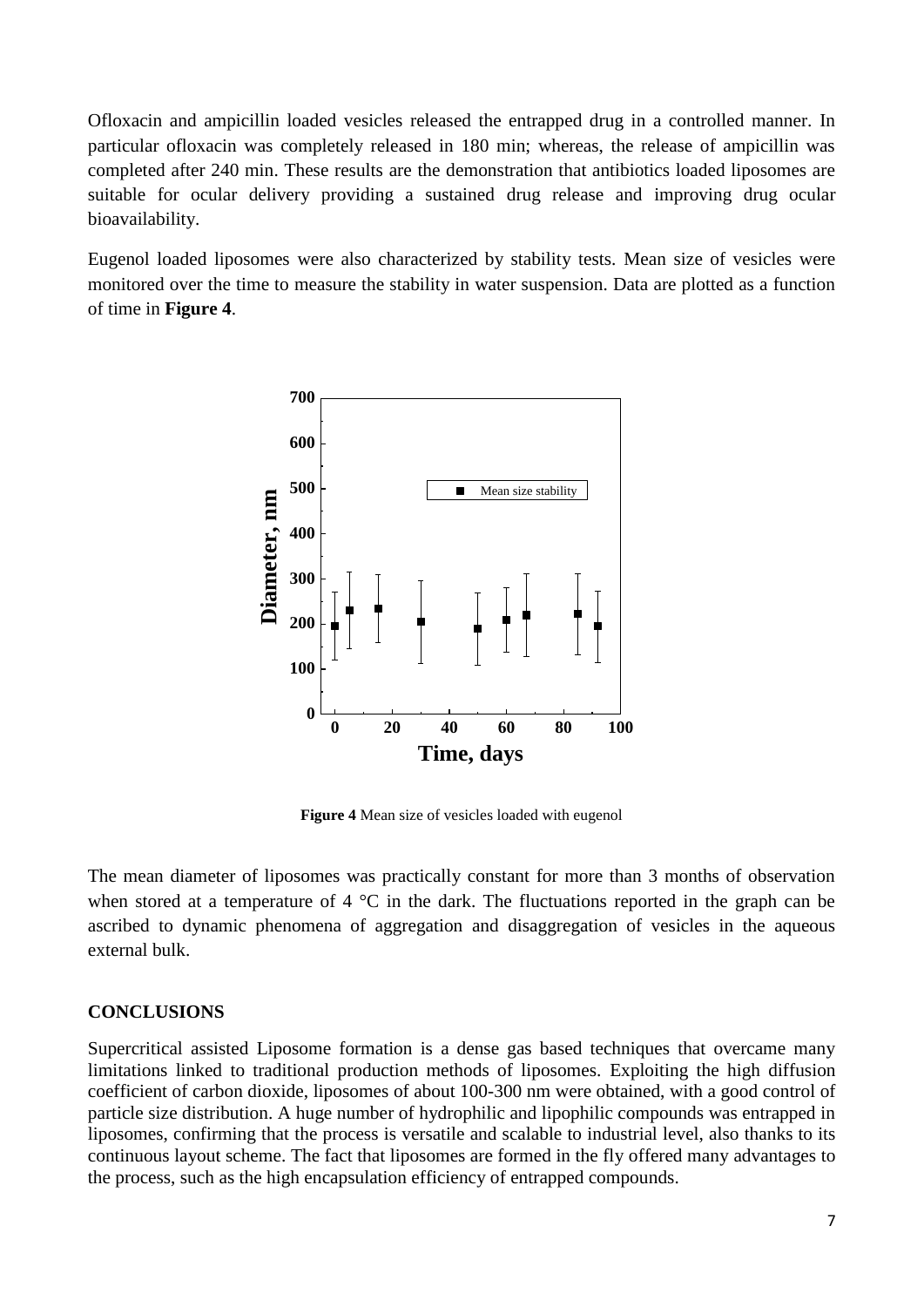Ofloxacin and ampicillin loaded vesicles released the entrapped drug in a controlled manner. In particular ofloxacin was completely released in 180 min; whereas, the release of ampicillin was completed after 240 min. These results are the demonstration that antibiotics loaded liposomes are suitable for ocular delivery providing a sustained drug release and improving drug ocular bioavailability.

Eugenol loaded liposomes were also characterized by stability tests. Mean size of vesicles were monitored over the time to measure the stability in water suspension. Data are plotted as a function of time in **Figure 4**.



**Figure 4** Mean size of vesicles loaded with eugenol

The mean diameter of liposomes was practically constant for more than 3 months of observation when stored at a temperature of 4 °C in the dark. The fluctuations reported in the graph can be ascribed to dynamic phenomena of aggregation and disaggregation of vesicles in the aqueous external bulk.

## **CONCLUSIONS**

Supercritical assisted Liposome formation is a dense gas based techniques that overcame many limitations linked to traditional production methods of liposomes. Exploiting the high diffusion coefficient of carbon dioxide, liposomes of about 100-300 nm were obtained, with a good control of particle size distribution. A huge number of hydrophilic and lipophilic compounds was entrapped in liposomes, confirming that the process is versatile and scalable to industrial level, also thanks to its continuous layout scheme. The fact that liposomes are formed in the fly offered many advantages to the process, such as the high encapsulation efficiency of entrapped compounds.